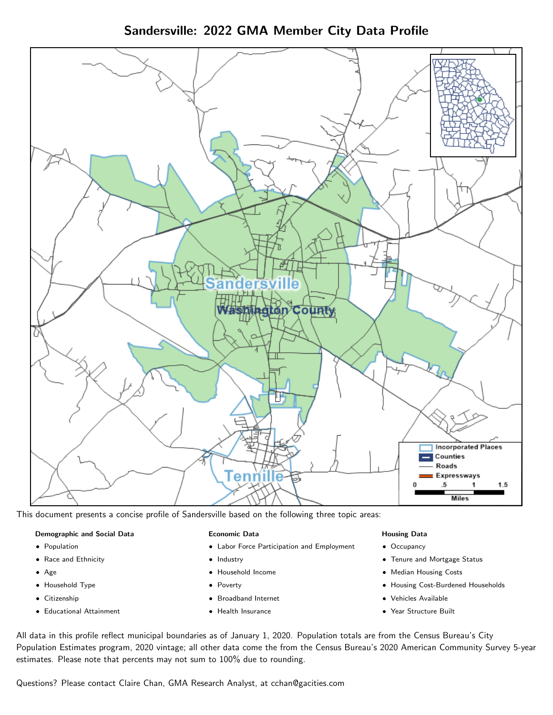Sandersville: 2022 GMA Member City Data Profile



This document presents a concise profile of Sandersville based on the following three topic areas:

#### Demographic and Social Data

- **•** Population
- Race and Ethnicity
- Age
- Household Type
- **Citizenship**
- Educational Attainment

#### Economic Data

- Labor Force Participation and Employment
- Industry
- Household Income
- Poverty
- Broadband Internet
- Health Insurance

#### Housing Data

- Occupancy
- Tenure and Mortgage Status
- Median Housing Costs
- Housing Cost-Burdened Households
- Vehicles Available
- Year Structure Built

All data in this profile reflect municipal boundaries as of January 1, 2020. Population totals are from the Census Bureau's City Population Estimates program, 2020 vintage; all other data come the from the Census Bureau's 2020 American Community Survey 5-year estimates. Please note that percents may not sum to 100% due to rounding.

Questions? Please contact Claire Chan, GMA Research Analyst, at [cchan@gacities.com.](mailto:cchan@gacities.com)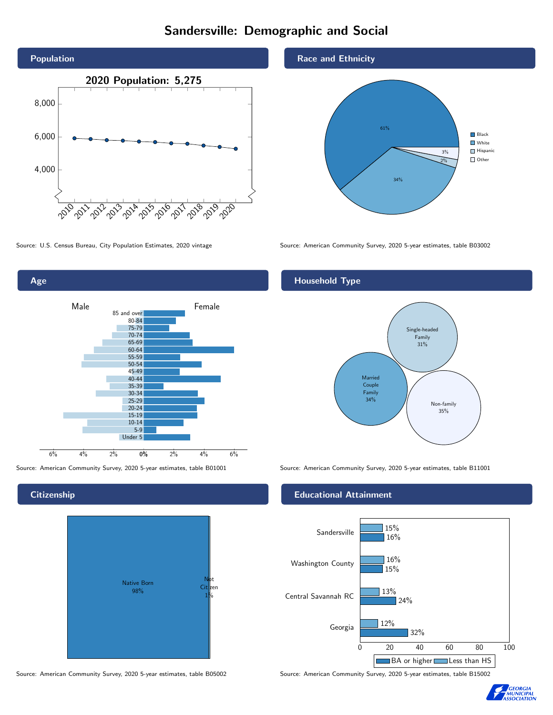### Sandersville: Demographic and Social





**Citizenship** 



Source: American Community Survey, 2020 5-year estimates, table B05002 Source: American Community Survey, 2020 5-year estimates, table B15002

Race and Ethnicity



Source: U.S. Census Bureau, City Population Estimates, 2020 vintage Source: American Community Survey, 2020 5-year estimates, table B03002

#### Household Type



Source: American Community Survey, 2020 5-year estimates, table B01001 Source: American Community Survey, 2020 5-year estimates, table B11001

#### Educational Attainment



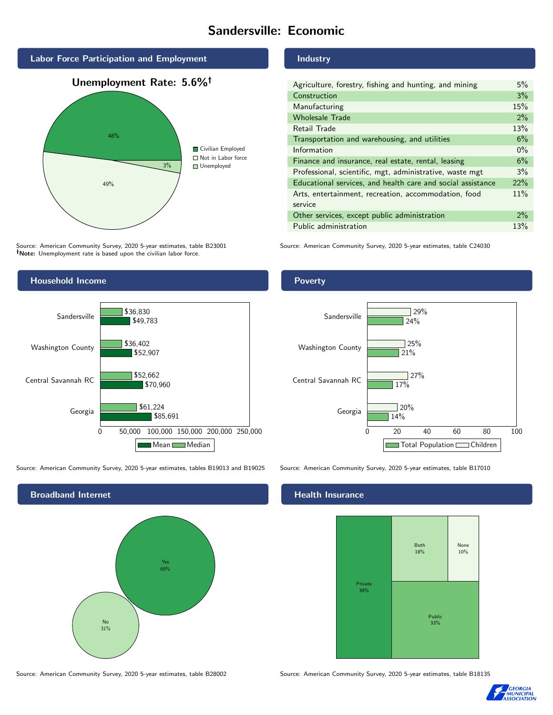### Sandersville: Economic



Source: American Community Survey, 2020 5-year estimates, table B23001 Note: Unemployment rate is based upon the civilian labor force.

#### Industry

| Agriculture, forestry, fishing and hunting, and mining      | 5%    |
|-------------------------------------------------------------|-------|
| Construction                                                | 3%    |
| Manufacturing                                               | 15%   |
| <b>Wholesale Trade</b>                                      | 2%    |
| Retail Trade                                                | 13%   |
| Transportation and warehousing, and utilities               | 6%    |
| Information                                                 | $0\%$ |
| Finance and insurance, real estate, rental, leasing         | 6%    |
| Professional, scientific, mgt, administrative, waste mgt    | 3%    |
| Educational services, and health care and social assistance | 22%   |
| Arts, entertainment, recreation, accommodation, food        | 11%   |
| service                                                     |       |
| Other services, except public administration                | $2\%$ |
| Public administration                                       | 13%   |

Source: American Community Survey, 2020 5-year estimates, table C24030



Source: American Community Survey, 2020 5-year estimates, tables B19013 and B19025 Source: American Community Survey, 2020 5-year estimates, table B17010



Poverty



#### Health Insurance



Source: American Community Survey, 2020 5-year estimates, table B28002 Source: American Community Survey, 2020 5-year estimates, table B18135